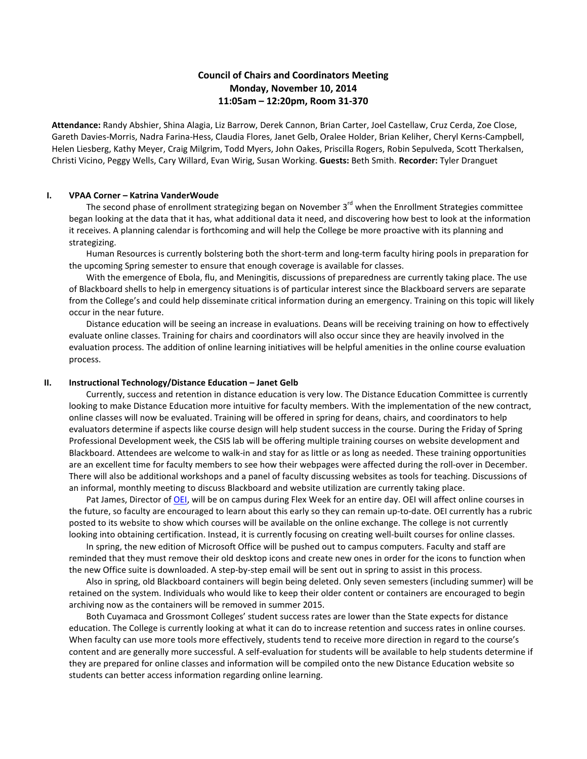# **Council of Chairs and Coordinators Meeting Monday, November 10, 2014 11:05am – 12:20pm, Room 31-370**

**Attendance:** Randy Abshier, Shina Alagia, Liz Barrow, Derek Cannon, Brian Carter, Joel Castellaw, Cruz Cerda, Zoe Close, Gareth Davies-Morris, Nadra Farina-Hess, Claudia Flores, Janet Gelb, Oralee Holder, Brian Keliher, Cheryl Kerns-Campbell, Helen Liesberg, Kathy Meyer, Craig Milgrim, Todd Myers, John Oakes, Priscilla Rogers, Robin Sepulveda, Scott Therkalsen, Christi Vicino, Peggy Wells, Cary Willard, Evan Wirig, Susan Working. **Guests:** Beth Smith. **Recorder:** Tyler Dranguet

## **I. VPAA Corner – Katrina VanderWoude**

The second phase of enrollment strategizing began on November 3<sup>rd</sup> when the Enrollment Strategies committee began looking at the data that it has, what additional data it need, and discovering how best to look at the information it receives. A planning calendar is forthcoming and will help the College be more proactive with its planning and strategizing.

Human Resources is currently bolstering both the short-term and long-term faculty hiring pools in preparation for the upcoming Spring semester to ensure that enough coverage is available for classes.

With the emergence of Ebola, flu, and Meningitis, discussions of preparedness are currently taking place. The use of Blackboard shells to help in emergency situations is of particular interest since the Blackboard servers are separate from the College's and could help disseminate critical information during an emergency. Training on this topic will likely occur in the near future.

Distance education will be seeing an increase in evaluations. Deans will be receiving training on how to effectively evaluate online classes. Training for chairs and coordinators will also occur since they are heavily involved in the evaluation process. The addition of online learning initiatives will be helpful amenities in the online course evaluation process.

## **II. Instructional Technology/Distance Education – Janet Gelb**

Currently, success and retention in distance education is very low. The Distance Education Committee is currently looking to make Distance Education more intuitive for faculty members. With the implementation of the new contract, online classes will now be evaluated. Training will be offered in spring for deans, chairs, and coordinators to help evaluators determine if aspects like course design will help student success in the course. During the Friday of Spring Professional Development week, the CSIS lab will be offering multiple training courses on website development and Blackboard. Attendees are welcome to walk-in and stay for as little or as long as needed. These training opportunities are an excellent time for faculty members to see how their webpages were affected during the roll-over in December. There will also be additional workshops and a panel of faculty discussing websites as tools for teaching. Discussions of an informal, monthly meeting to discuss Blackboard and website utilization are currently taking place.

Pat James, Director of [OEI,](http://ccconlineed.org/) will be on campus during Flex Week for an entire day. OEI will affect online courses in the future, so faculty are encouraged to learn about this early so they can remain up-to-date. OEI currently has a rubric posted to its website to show which courses will be available on the online exchange. The college is not currently looking into obtaining certification. Instead, it is currently focusing on creating well-built courses for online classes.

In spring, the new edition of Microsoft Office will be pushed out to campus computers. Faculty and staff are reminded that they must remove their old desktop icons and create new ones in order for the icons to function when the new Office suite is downloaded. A step-by-step email will be sent out in spring to assist in this process.

Also in spring, old Blackboard containers will begin being deleted. Only seven semesters (including summer) will be retained on the system. Individuals who would like to keep their older content or containers are encouraged to begin archiving now as the containers will be removed in summer 2015.

Both Cuyamaca and Grossmont Colleges' student success rates are lower than the State expects for distance education. The College is currently looking at what it can do to increase retention and success rates in online courses. When faculty can use more tools more effectively, students tend to receive more direction in regard to the course's content and are generally more successful. A self-evaluation for students will be available to help students determine if they are prepared for online classes and information will be compiled onto the new Distance Education website so students can better access information regarding online learning.